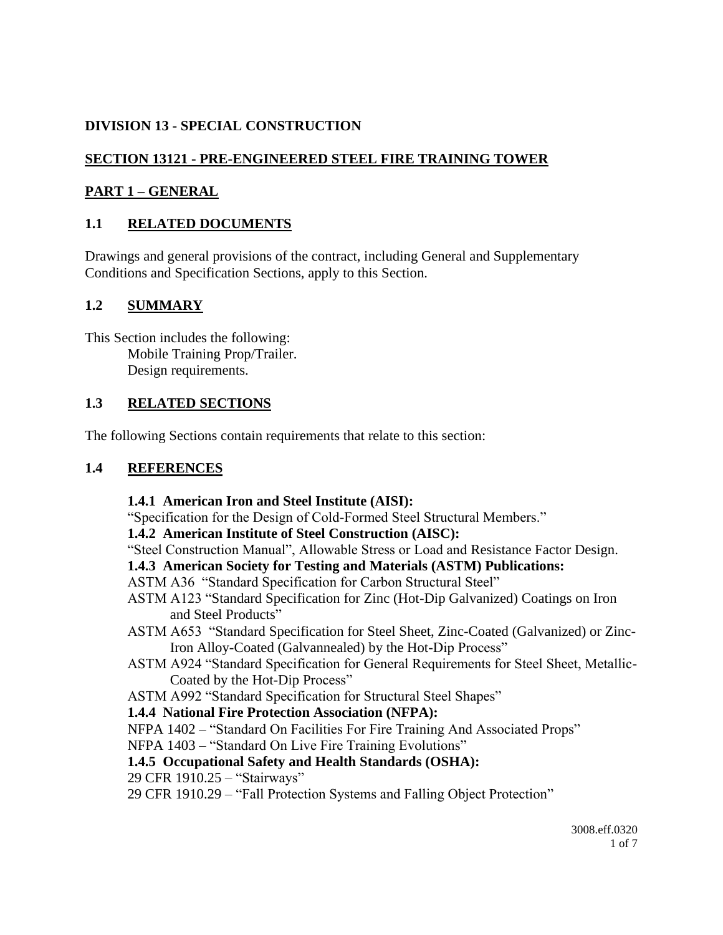# **DIVISION 13 - SPECIAL CONSTRUCTION**

# **SECTION 13121 - PRE-ENGINEERED STEEL FIRE TRAINING TOWER**

## **PART 1 – GENERAL**

# **1.1 RELATED DOCUMENTS**

Drawings and general provisions of the contract, including General and Supplementary Conditions and Specification Sections, apply to this Section.

## **1.2 SUMMARY**

This Section includes the following: Mobile Training Prop/Trailer. Design requirements.

### **1.3 RELATED SECTIONS**

The following Sections contain requirements that relate to this section:

### **1.4 REFERENCES**

### **1.4.1 American Iron and Steel Institute (AISI):**

"Specification for the Design of Cold-Formed Steel Structural Members."

#### **1.4.2 American Institute of Steel Construction (AISC):**

"Steel Construction Manual", Allowable Stress or Load and Resistance Factor Design.

### **1.4.3 American Society for Testing and Materials (ASTM) Publications:**

- ASTM A36 "Standard Specification for Carbon Structural Steel"
- ASTM A123 "Standard Specification for Zinc (Hot-Dip Galvanized) Coatings on Iron and Steel Products"
- ASTM A653 "Standard Specification for Steel Sheet, Zinc-Coated (Galvanized) or Zinc-Iron Alloy-Coated (Galvannealed) by the Hot-Dip Process"
- ASTM A924 "Standard Specification for General Requirements for Steel Sheet, Metallic-Coated by the Hot-Dip Process"
- ASTM A992 "Standard Specification for Structural Steel Shapes"

### **1.4.4 National Fire Protection Association (NFPA):**

NFPA 1402 – "Standard On Facilities For Fire Training And Associated Props"

NFPA 1403 – "Standard On Live Fire Training Evolutions"

### **1.4.5 Occupational Safety and Health Standards (OSHA):**

29 CFR 1910.25 – "Stairways"

29 CFR 1910.29 – "Fall Protection Systems and Falling Object Protection"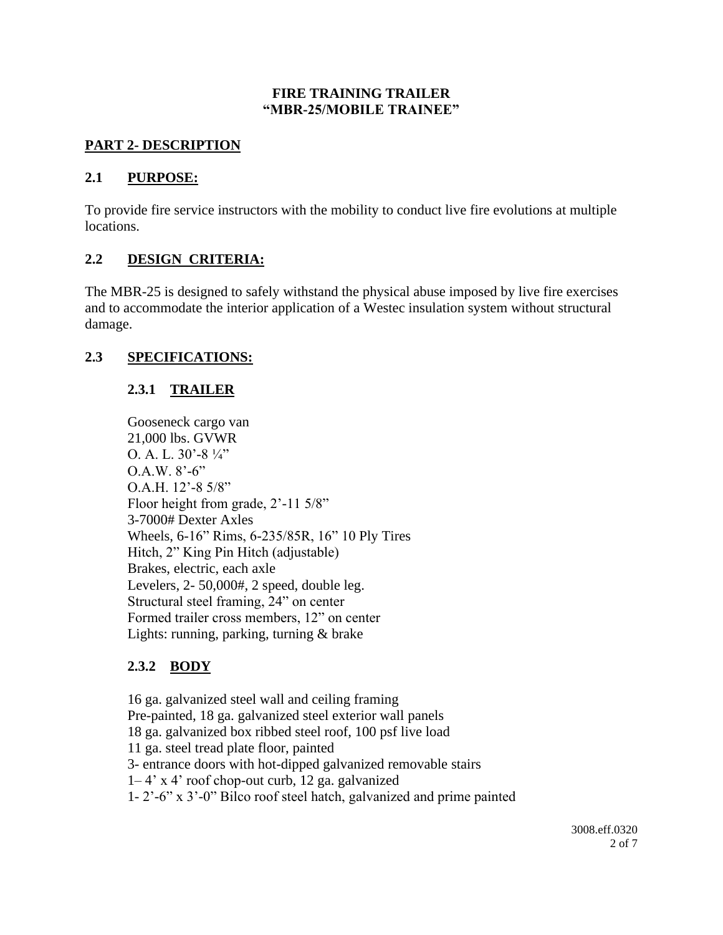#### **FIRE TRAINING TRAILER "MBR-25/MOBILE TRAINEE"**

### **PART 2- DESCRIPTION**

### **2.1 PURPOSE:**

To provide fire service instructors with the mobility to conduct live fire evolutions at multiple locations.

## **2.2 DESIGN CRITERIA:**

The MBR-25 is designed to safely withstand the physical abuse imposed by live fire exercises and to accommodate the interior application of a Westec insulation system without structural damage.

### **2.3 SPECIFICATIONS:**

# **2.3.1 TRAILER**

Gooseneck cargo van 21,000 lbs. GVWR O. A. L.  $30'$ -8  $\frac{1}{4}$ "  $O.A.W. 8'-6"$ O.A.H. 12'-8 5/8" Floor height from grade, 2'-11 5/8" 3-7000# Dexter Axles Wheels, 6-16" Rims, 6-235/85R, 16" 10 Ply Tires Hitch, 2" King Pin Hitch (adjustable) Brakes, electric, each axle Levelers, 2- 50,000#, 2 speed, double leg. Structural steel framing, 24" on center Formed trailer cross members, 12" on center Lights: running, parking, turning & brake

# **2.3.2 BODY**

16 ga. galvanized steel wall and ceiling framing Pre-painted, 18 ga. galvanized steel exterior wall panels 18 ga. galvanized box ribbed steel roof, 100 psf live load 11 ga. steel tread plate floor, painted 3- entrance doors with hot-dipped galvanized removable stairs 1– 4' x 4' roof chop-out curb, 12 ga. galvanized 1- 2'-6" x 3'-0" Bilco roof steel hatch, galvanized and prime painted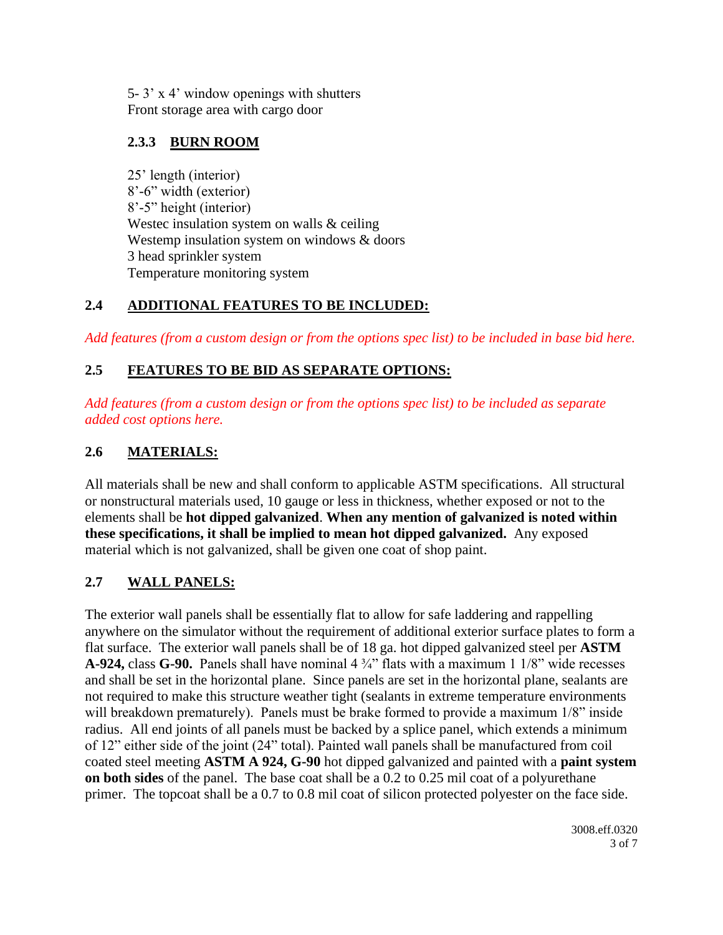5- 3' x 4' window openings with shutters Front storage area with cargo door

# **2.3.3 BURN ROOM**

25' length (interior) 8'-6" width (exterior) 8'-5" height (interior) Westec insulation system on walls & ceiling Westemp insulation system on windows & doors 3 head sprinkler system Temperature monitoring system

# **2.4 ADDITIONAL FEATURES TO BE INCLUDED:**

*Add features (from a custom design or from the options spec list) to be included in base bid here.*

# **2.5 FEATURES TO BE BID AS SEPARATE OPTIONS:**

*Add features (from a custom design or from the options spec list) to be included as separate added cost options here.*

# **2.6 MATERIALS:**

All materials shall be new and shall conform to applicable ASTM specifications. All structural or nonstructural materials used, 10 gauge or less in thickness, whether exposed or not to the elements shall be **hot dipped galvanized**. **When any mention of galvanized is noted within these specifications, it shall be implied to mean hot dipped galvanized.** Any exposed material which is not galvanized, shall be given one coat of shop paint.

# **2.7 WALL PANELS:**

The exterior wall panels shall be essentially flat to allow for safe laddering and rappelling anywhere on the simulator without the requirement of additional exterior surface plates to form a flat surface. The exterior wall panels shall be of 18 ga. hot dipped galvanized steel per **ASTM A-924,** class **G-90.** Panels shall have nominal 4 ¾" flats with a maximum 1 1/8" wide recesses and shall be set in the horizontal plane. Since panels are set in the horizontal plane, sealants are not required to make this structure weather tight (sealants in extreme temperature environments will breakdown prematurely). Panels must be brake formed to provide a maximum 1/8" inside radius. All end joints of all panels must be backed by a splice panel, which extends a minimum of 12" either side of the joint (24" total). Painted wall panels shall be manufactured from coil coated steel meeting **ASTM A 924, G-90** hot dipped galvanized and painted with a **paint system on both sides** of the panel. The base coat shall be a 0.2 to 0.25 mil coat of a polyurethane primer. The topcoat shall be a 0.7 to 0.8 mil coat of silicon protected polyester on the face side.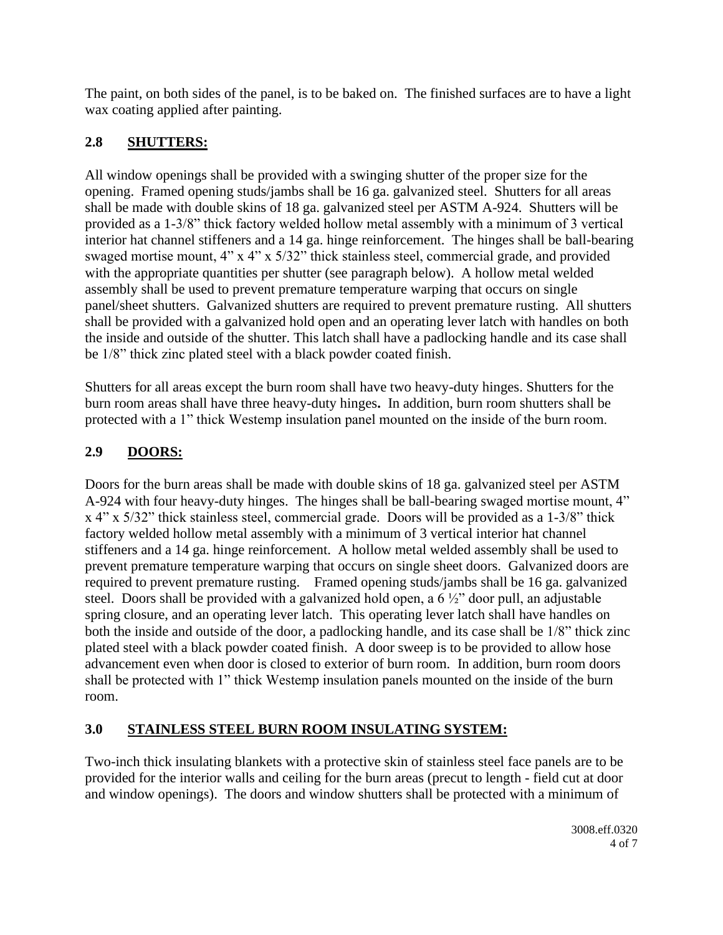The paint, on both sides of the panel, is to be baked on. The finished surfaces are to have a light wax coating applied after painting.

# **2.8 SHUTTERS:**

All window openings shall be provided with a swinging shutter of the proper size for the opening. Framed opening studs/jambs shall be 16 ga. galvanized steel. Shutters for all areas shall be made with double skins of 18 ga. galvanized steel per ASTM A-924. Shutters will be provided as a 1-3/8" thick factory welded hollow metal assembly with a minimum of 3 vertical interior hat channel stiffeners and a 14 ga. hinge reinforcement. The hinges shall be ball-bearing swaged mortise mount, 4" x 4" x 5/32" thick stainless steel, commercial grade, and provided with the appropriate quantities per shutter (see paragraph below). A hollow metal welded assembly shall be used to prevent premature temperature warping that occurs on single panel/sheet shutters. Galvanized shutters are required to prevent premature rusting. All shutters shall be provided with a galvanized hold open and an operating lever latch with handles on both the inside and outside of the shutter. This latch shall have a padlocking handle and its case shall be 1/8" thick zinc plated steel with a black powder coated finish.

Shutters for all areas except the burn room shall have two heavy-duty hinges. Shutters for the burn room areas shall have three heavy-duty hinges**.** In addition, burn room shutters shall be protected with a 1" thick Westemp insulation panel mounted on the inside of the burn room.

# **2.9 DOORS:**

Doors for the burn areas shall be made with double skins of 18 ga. galvanized steel per ASTM A-924 with four heavy-duty hinges. The hinges shall be ball-bearing swaged mortise mount, 4" x 4" x 5/32" thick stainless steel, commercial grade. Doors will be provided as a 1-3/8" thick factory welded hollow metal assembly with a minimum of 3 vertical interior hat channel stiffeners and a 14 ga. hinge reinforcement. A hollow metal welded assembly shall be used to prevent premature temperature warping that occurs on single sheet doors. Galvanized doors are required to prevent premature rusting. Framed opening studs/jambs shall be 16 ga. galvanized steel. Doors shall be provided with a galvanized hold open, a 6 ½" door pull, an adjustable spring closure, and an operating lever latch. This operating lever latch shall have handles on both the inside and outside of the door, a padlocking handle, and its case shall be 1/8" thick zinc plated steel with a black powder coated finish. A door sweep is to be provided to allow hose advancement even when door is closed to exterior of burn room. In addition, burn room doors shall be protected with 1" thick Westemp insulation panels mounted on the inside of the burn room.

# **3.0 STAINLESS STEEL BURN ROOM INSULATING SYSTEM:**

Two-inch thick insulating blankets with a protective skin of stainless steel face panels are to be provided for the interior walls and ceiling for the burn areas (precut to length - field cut at door and window openings). The doors and window shutters shall be protected with a minimum of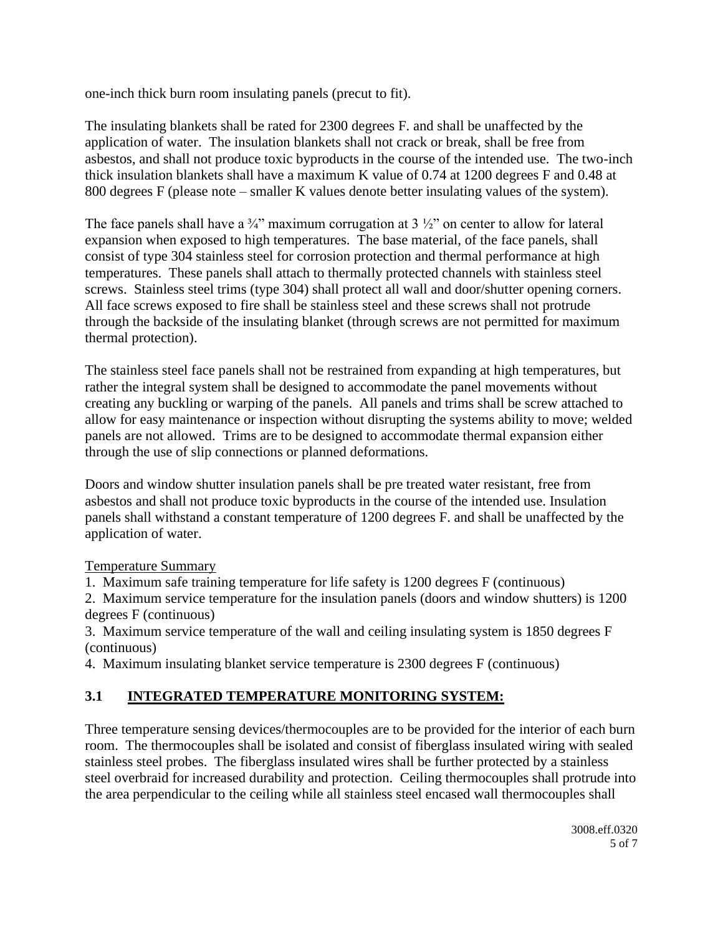one-inch thick burn room insulating panels (precut to fit).

The insulating blankets shall be rated for 2300 degrees F. and shall be unaffected by the application of water. The insulation blankets shall not crack or break, shall be free from asbestos, and shall not produce toxic byproducts in the course of the intended use. The two-inch thick insulation blankets shall have a maximum K value of 0.74 at 1200 degrees F and 0.48 at 800 degrees F (please note – smaller K values denote better insulating values of the system).

The face panels shall have a  $\frac{3}{4}$ " maximum corrugation at 3  $\frac{1}{2}$ " on center to allow for lateral expansion when exposed to high temperatures. The base material, of the face panels, shall consist of type 304 stainless steel for corrosion protection and thermal performance at high temperatures. These panels shall attach to thermally protected channels with stainless steel screws. Stainless steel trims (type 304) shall protect all wall and door/shutter opening corners. All face screws exposed to fire shall be stainless steel and these screws shall not protrude through the backside of the insulating blanket (through screws are not permitted for maximum thermal protection).

The stainless steel face panels shall not be restrained from expanding at high temperatures, but rather the integral system shall be designed to accommodate the panel movements without creating any buckling or warping of the panels. All panels and trims shall be screw attached to allow for easy maintenance or inspection without disrupting the systems ability to move; welded panels are not allowed. Trims are to be designed to accommodate thermal expansion either through the use of slip connections or planned deformations.

Doors and window shutter insulation panels shall be pre treated water resistant, free from asbestos and shall not produce toxic byproducts in the course of the intended use. Insulation panels shall withstand a constant temperature of 1200 degrees F. and shall be unaffected by the application of water.

Temperature Summary

1. Maximum safe training temperature for life safety is 1200 degrees F (continuous)

2. Maximum service temperature for the insulation panels (doors and window shutters) is 1200 degrees F (continuous)

3. Maximum service temperature of the wall and ceiling insulating system is 1850 degrees F (continuous)

4. Maximum insulating blanket service temperature is 2300 degrees F (continuous)

# **3.1 INTEGRATED TEMPERATURE MONITORING SYSTEM:**

Three temperature sensing devices/thermocouples are to be provided for the interior of each burn room. The thermocouples shall be isolated and consist of fiberglass insulated wiring with sealed stainless steel probes. The fiberglass insulated wires shall be further protected by a stainless steel overbraid for increased durability and protection. Ceiling thermocouples shall protrude into the area perpendicular to the ceiling while all stainless steel encased wall thermocouples shall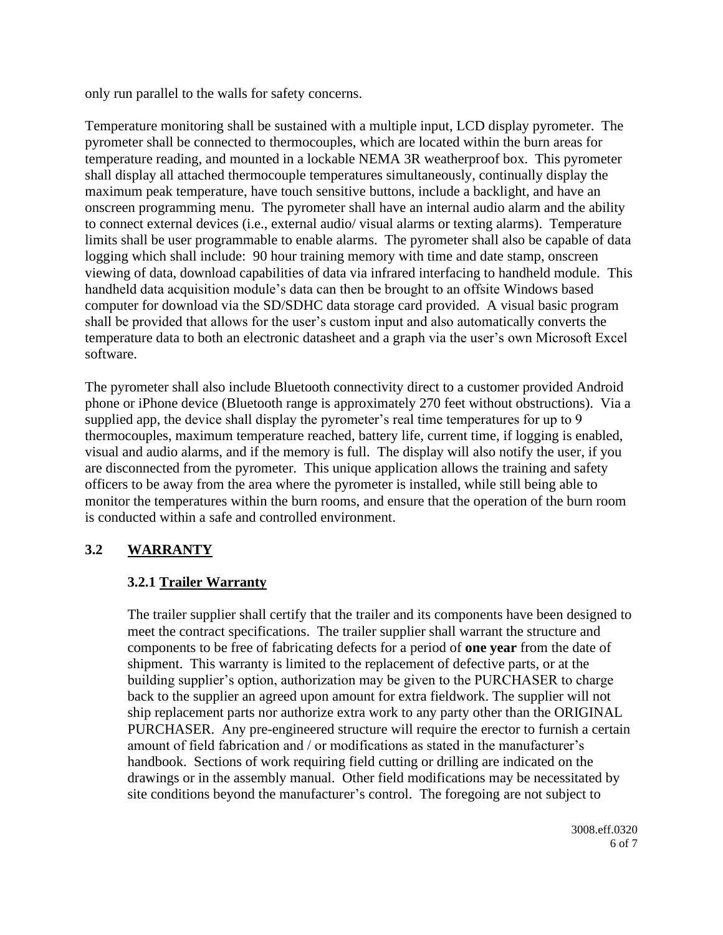only run parallel to the walls for safety concerns.

Temperature monitoring shall be sustained with a multiple input, LCD display pyrometer. The pyrometer shall be connected to thermocouples, which are located within the burn areas for temperature reading, and mounted in a lockable NEMA 3R weatherproof box. This pyrometer shall display all attached thermocouple temperatures simultaneously, continually display the maximum peak temperature, have touch sensitive buttons, include a backlight, and have an onscreen programming menu. The pyrometer shall have an internal audio alarm and the ability to connect external devices (i.e., external audio/ visual alarms or texting alarms). Temperature limits shall be user programmable to enable alarms. The pyrometer shall also be capable of data logging which shall include: 90 hour training memory with time and date stamp, onscreen viewing of data, download capabilities of data via infrared interfacing to handheld module. This handheld data acquisition module's data can then be brought to an offsite Windows based computer for download via the SD/SDHC data storage card provided. A visual basic program shall be provided that allows for the user's custom input and also automatically converts the temperature data to both an electronic datasheet and a graph via the user's own Microsoft Excel software.

The pyrometer shall also include Bluetooth connectivity direct to a customer provided Android phone or iPhone device (Bluetooth range is approximately 270 feet without obstructions). Via a supplied app, the device shall display the pyrometer's real time temperatures for up to 9 thermocouples, maximum temperature reached, battery life, current time, if logging is enabled, visual and audio alarms, and if the memory is full. The display will also notify the user, if you are disconnected from the pyrometer. This unique application allows the training and safety officers to be away from the area where the pyrometer is installed, while still being able to monitor the temperatures within the burn rooms, and ensure that the operation of the burn room is conducted within a safe and controlled environment.

# **3.2 WARRANTY**

#### **3.2.1 Trailer Warranty**

The trailer supplier shall certify that the trailer and its components have been designed to meet the contract specifications. The trailer supplier shall warrant the structure and components to be free of fabricating defects for a period of **one year** from the date of shipment. This warranty is limited to the replacement of defective parts, or at the building supplier's option, authorization may be given to the PURCHASER to charge back to the supplier an agreed upon amount for extra fieldwork. The supplier will not ship replacement parts nor authorize extra work to any party other than the ORIGINAL PURCHASER. Any pre-engineered structure will require the erector to furnish a certain amount of field fabrication and / or modifications as stated in the manufacturer's handbook. Sections of work requiring field cutting or drilling are indicated on the drawings or in the assembly manual. Other field modifications may be necessitated by site conditions beyond the manufacturer's control. The foregoing are not subject to